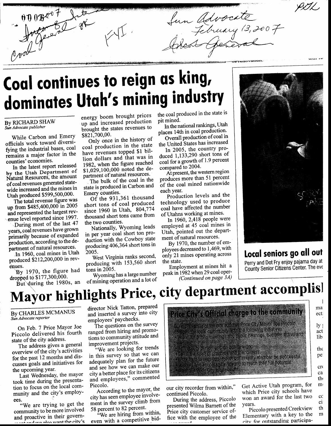fun Advocate<br>Jebuary 13, 2007  $0.008_{\text{m}}$ 

## Coal continues to reign as king, dominates Utah's mining industry

#### By RICHARD SHAW Sun Advocate publisher

While Carbon and Emery officials work toward diversifying the industrial bases, coal remains a major factor in the counties' economies.

In the latest report released by the Utah Department of Natural Resources, the amount of coal revenues generated statewide increased and the mines in Utah produced \$599,500,000.

The total revenue figure was up from \$485,400,000 in 2005 and represented the largest revenue level reported since 1997.

During most of the last 47 years, coal revenues have grown primarily because of expanded production, according to the department of natural resources.

In 1960, coal mines in Utah produced \$212,200,000 in revenues.

By 1970, the figure had dropped to \$177,300,000.

But during the 1980s, an

energy boom brought prices up and increased production brought the states revenues to \$821,700,00.

Only once in the history of coal production in the state have revenues topped \$1 billion dollars and that was in 1982, when the figure reached \$1,029,100,000 noted the department of natural resources.

The bulk of the coal in the state is produced in Carbon and Emery counties.

Of the 931,361 thousand short tons of coal produced since 1960 in Utah, 804,774 thousand short tons came from the two counties.

Nationally, Wyoming leads in per year coal short ton production with the Cowboy state producing 406,364 short tons in  $2005.$ 

West Virginia ranks second, producing with 153,560 short tons in  $2005$ .

Wyoming has a large number of mining operation and a lot of

the coal produced in the state is pit mined.

In the national rankings, Utah places 14th in coal production. Overall production of coal in

the United States has increased In 2005, the country pro-

duced 1,133,290 short tons of coal for a growth of 1.9 percent compared to 2004.

At present, the western region produces more than 51 percent of the coal mined nationwide each year.

Production levels and the technology used to produce coal have affected the number of Utahns working at mines.

In 1960, 2,418 people were employed at 45 coal mines in Utah, pointed out the department of natural resources.

By 1970, the number of employees decreased to 1,469, with only 21 mines operating across the state.

Employment at mines hit a peak in 1982 when 29 coal oper-(Continued on page 3A)



IIL.

wuu re

### Local seniors go all out Perry and Dot Fry enjoy pajama day at

County Senior Citizens Center. The eve

## Mayor highlights Price, city department accomplis

By CHARLES MCMANUS Sun Advocate reporter

On Feb. 7 Price Mayor Joe Piccolo delivered his fourth state of the city address.

The address gives a general overview of the city's activities for the past 12 months and discusses goals and initiatives for the upcoming year.

Last Wednesday, the mayor took time during the presentation to focus on the local community and the city's employees

"We are trying to get the community to be more involved and proactive in their governad we also want the city's

director Nick Tatton, prepared and inserted a survey into city employees' paychecks.

The questions on the survey ranged from hiring and promotions to community attitude and improvement projects.

"We are looking for trends in this survey so that we can adequately plan for the future and see how we can make our city a better place for its citizens and employees," commented Piccolo.

According to the mayor, the city has seen employee involvement in the survey climb from

58 percent to 82 percent. "We are hiring from within, even with a competitive bid-



continued Piccolo.

During the address, Piccolo presented Wilma Barnett of the Price city customer service office with the employee of the which Price city schools have won an award for the last two vears.

 $cc$ 

ci

th

m

Piccolo presented Creekview Elementary with a key to the city for outstanding participa-